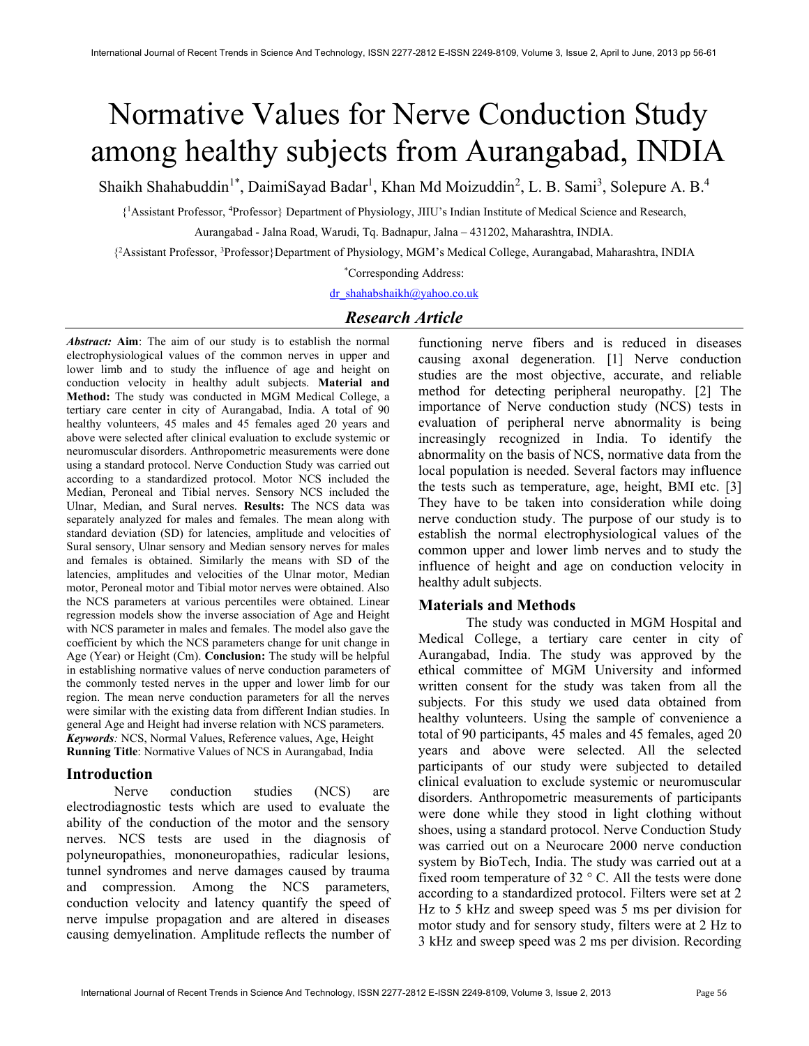# Normative Values for Nerve Conduction Study among healthy subjects from Aurangabad, INDIA

Shaikh Shahabuddin<sup>1\*</sup>, DaimiSayad Badar<sup>1</sup>, Khan Md Moizuddin<sup>2</sup>, L. B. Sami<sup>3</sup>, Solepure A. B.<sup>4</sup>

{ <sup>1</sup>Assistant Professor, <sup>4</sup>Professor} Department of Physiology, JIIU's Indian Institute of Medical Science and Research,

Aurangabad - Jalna Road, Warudi, Tq. Badnapur, Jalna – 431202, Maharashtra, INDIA.

{ <sup>2</sup>Assistant Professor, <sup>3</sup>Professor}Department of Physiology, MGM's Medical College, Aurangabad, Maharashtra, INDIA

\*Corresponding Address:

dr\_shahabshaikh@yahoo.co.uk

# Research Article

Abstract: Aim: The aim of our study is to establish the normal electrophysiological values of the common nerves in upper and lower limb and to study the influence of age and height on conduction velocity in healthy adult subjects. Material and Method: The study was conducted in MGM Medical College, a tertiary care center in city of Aurangabad, India. A total of 90 healthy volunteers, 45 males and 45 females aged 20 years and above were selected after clinical evaluation to exclude systemic or neuromuscular disorders. Anthropometric measurements were done using a standard protocol. Nerve Conduction Study was carried out according to a standardized protocol. Motor NCS included the Median, Peroneal and Tibial nerves. Sensory NCS included the Ulnar, Median, and Sural nerves. Results: The NCS data was separately analyzed for males and females. The mean along with standard deviation (SD) for latencies, amplitude and velocities of Sural sensory, Ulnar sensory and Median sensory nerves for males and females is obtained. Similarly the means with SD of the latencies, amplitudes and velocities of the Ulnar motor, Median motor, Peroneal motor and Tibial motor nerves were obtained. Also the NCS parameters at various percentiles were obtained. Linear regression models show the inverse association of Age and Height with NCS parameter in males and females. The model also gave the coefficient by which the NCS parameters change for unit change in Age (Year) or Height (Cm). Conclusion: The study will be helpful in establishing normative values of nerve conduction parameters of the commonly tested nerves in the upper and lower limb for our region. The mean nerve conduction parameters for all the nerves were similar with the existing data from different Indian studies. In general Age and Height had inverse relation with NCS parameters. Keywords: NCS, Normal Values, Reference values, Age, Height Running Title: Normative Values of NCS in Aurangabad, India

## Introduction

 Nerve conduction studies (NCS) are electrodiagnostic tests which are used to evaluate the ability of the conduction of the motor and the sensory nerves. NCS tests are used in the diagnosis of polyneuropathies, mononeuropathies, radicular lesions, tunnel syndromes and nerve damages caused by trauma and compression. Among the NCS parameters, conduction velocity and latency quantify the speed of nerve impulse propagation and are altered in diseases causing demyelination. Amplitude reflects the number of

functioning nerve fibers and is reduced in diseases causing axonal degeneration. [1] Nerve conduction studies are the most objective, accurate, and reliable method for detecting peripheral neuropathy. [2] The importance of Nerve conduction study (NCS) tests in evaluation of peripheral nerve abnormality is being increasingly recognized in India. To identify the abnormality on the basis of NCS, normative data from the local population is needed. Several factors may influence the tests such as temperature, age, height, BMI etc. [3] They have to be taken into consideration while doing nerve conduction study. The purpose of our study is to establish the normal electrophysiological values of the common upper and lower limb nerves and to study the influence of height and age on conduction velocity in healthy adult subjects.

#### Materials and Methods

 The study was conducted in MGM Hospital and Medical College, a tertiary care center in city of Aurangabad, India. The study was approved by the ethical committee of MGM University and informed written consent for the study was taken from all the subjects. For this study we used data obtained from healthy volunteers. Using the sample of convenience a total of 90 participants, 45 males and 45 females, aged 20 years and above were selected. All the selected participants of our study were subjected to detailed clinical evaluation to exclude systemic or neuromuscular disorders. Anthropometric measurements of participants were done while they stood in light clothing without shoes, using a standard protocol. Nerve Conduction Study was carried out on a Neurocare 2000 nerve conduction system by BioTech, India. The study was carried out at a fixed room temperature of 32 ° C. All the tests were done according to a standardized protocol. Filters were set at 2 Hz to 5 kHz and sweep speed was 5 ms per division for motor study and for sensory study, filters were at 2 Hz to 3 kHz and sweep speed was 2 ms per division. Recording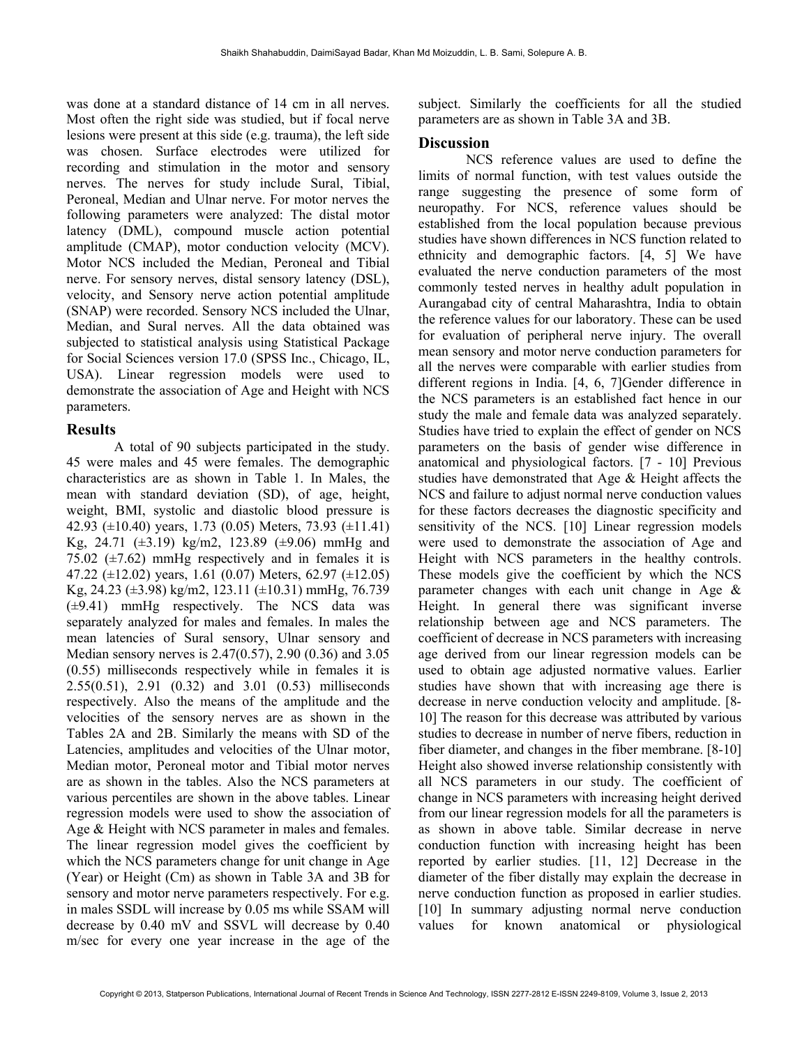was done at a standard distance of 14 cm in all nerves. Most often the right side was studied, but if focal nerve lesions were present at this side (e.g. trauma), the left side was chosen. Surface electrodes were utilized for recording and stimulation in the motor and sensory nerves. The nerves for study include Sural, Tibial, Peroneal, Median and Ulnar nerve. For motor nerves the following parameters were analyzed: The distal motor latency (DML), compound muscle action potential amplitude (CMAP), motor conduction velocity (MCV). Motor NCS included the Median, Peroneal and Tibial nerve. For sensory nerves, distal sensory latency (DSL), velocity, and Sensory nerve action potential amplitude (SNAP) were recorded. Sensory NCS included the Ulnar, Median, and Sural nerves. All the data obtained was subjected to statistical analysis using Statistical Package for Social Sciences version 17.0 (SPSS Inc., Chicago, IL, USA). Linear regression models were used to demonstrate the association of Age and Height with NCS parameters.

#### Results

 A total of 90 subjects participated in the study. 45 were males and 45 were females. The demographic characteristics are as shown in Table 1. In Males, the mean with standard deviation (SD), of age, height, weight, BMI, systolic and diastolic blood pressure is 42.93 ( $\pm$ 10.40) years, 1.73 (0.05) Meters, 73.93 ( $\pm$ 11.41) Kg, 24.71 (±3.19) kg/m2, 123.89 (±9.06) mmHg and 75.02  $(\pm 7.62)$  mmHg respectively and in females it is 47.22 ( $\pm$ 12.02) years, 1.61 (0.07) Meters, 62.97 ( $\pm$ 12.05) Kg, 24.23 ( $\pm$ 3.98) kg/m2, 123.11 ( $\pm$ 10.31) mmHg, 76.739 (±9.41) mmHg respectively. The NCS data was separately analyzed for males and females. In males the mean latencies of Sural sensory, Ulnar sensory and Median sensory nerves is 2.47(0.57), 2.90 (0.36) and 3.05 (0.55) milliseconds respectively while in females it is 2.55(0.51), 2.91 (0.32) and 3.01 (0.53) milliseconds respectively. Also the means of the amplitude and the velocities of the sensory nerves are as shown in the Tables 2A and 2B. Similarly the means with SD of the Latencies, amplitudes and velocities of the Ulnar motor, Median motor, Peroneal motor and Tibial motor nerves are as shown in the tables. Also the NCS parameters at various percentiles are shown in the above tables. Linear regression models were used to show the association of Age & Height with NCS parameter in males and females. The linear regression model gives the coefficient by which the NCS parameters change for unit change in Age (Year) or Height (Cm) as shown in Table 3A and 3B for sensory and motor nerve parameters respectively. For e.g. in males SSDL will increase by 0.05 ms while SSAM will decrease by 0.40 mV and SSVL will decrease by 0.40 m/sec for every one year increase in the age of the

subject. Similarly the coefficients for all the studied parameters are as shown in Table 3A and 3B.

### **Discussion**

 NCS reference values are used to define the limits of normal function, with test values outside the range suggesting the presence of some form of neuropathy. For NCS, reference values should be established from the local population because previous studies have shown differences in NCS function related to ethnicity and demographic factors. [4, 5] We have evaluated the nerve conduction parameters of the most commonly tested nerves in healthy adult population in Aurangabad city of central Maharashtra, India to obtain the reference values for our laboratory. These can be used for evaluation of peripheral nerve injury. The overall mean sensory and motor nerve conduction parameters for all the nerves were comparable with earlier studies from different regions in India. [4, 6, 7]Gender difference in the NCS parameters is an established fact hence in our study the male and female data was analyzed separately. Studies have tried to explain the effect of gender on NCS parameters on the basis of gender wise difference in anatomical and physiological factors. [7 - 10] Previous studies have demonstrated that Age & Height affects the NCS and failure to adjust normal nerve conduction values for these factors decreases the diagnostic specificity and sensitivity of the NCS. [10] Linear regression models were used to demonstrate the association of Age and Height with NCS parameters in the healthy controls. These models give the coefficient by which the NCS parameter changes with each unit change in Age & Height. In general there was significant inverse relationship between age and NCS parameters. The coefficient of decrease in NCS parameters with increasing age derived from our linear regression models can be used to obtain age adjusted normative values. Earlier studies have shown that with increasing age there is decrease in nerve conduction velocity and amplitude. [8- 10] The reason for this decrease was attributed by various studies to decrease in number of nerve fibers, reduction in fiber diameter, and changes in the fiber membrane. [8-10] Height also showed inverse relationship consistently with all NCS parameters in our study. The coefficient of change in NCS parameters with increasing height derived from our linear regression models for all the parameters is as shown in above table. Similar decrease in nerve conduction function with increasing height has been reported by earlier studies. [11, 12] Decrease in the diameter of the fiber distally may explain the decrease in nerve conduction function as proposed in earlier studies. [10] In summary adjusting normal nerve conduction values for known anatomical or physiological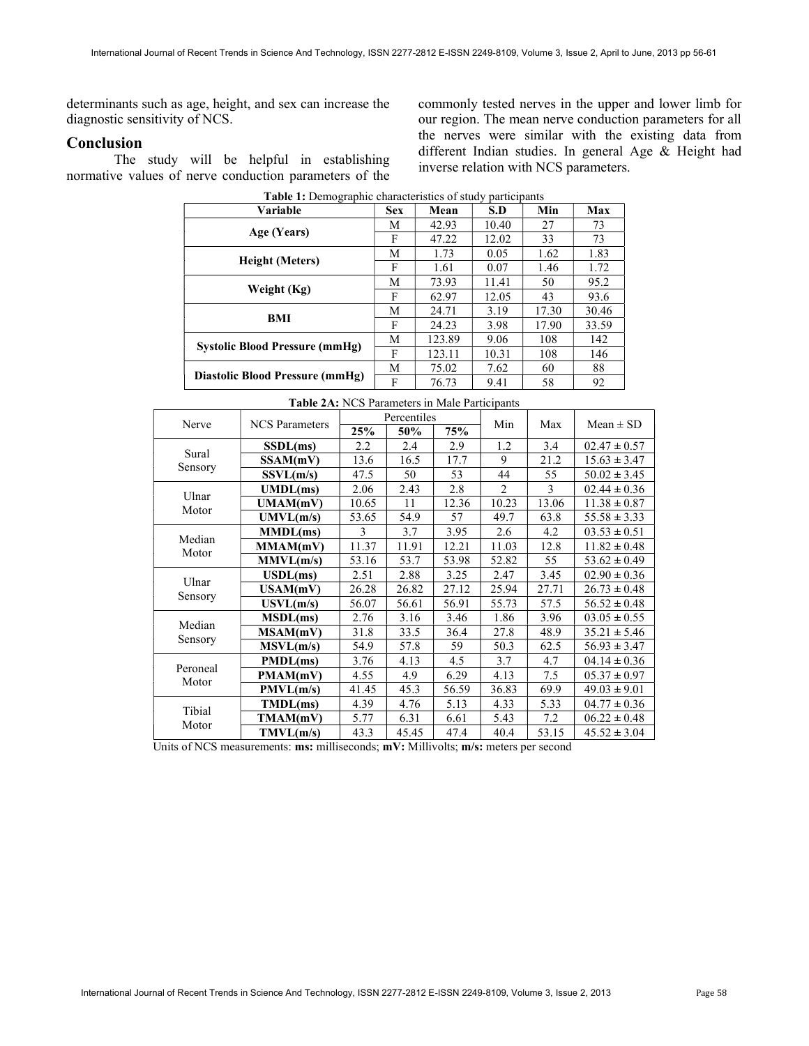determinants such as age, height, and sex can increase the diagnostic sensitivity of NCS.

### Conclusion

 The study will be helpful in establishing normative values of nerve conduction parameters of the commonly tested nerves in the upper and lower limb for our region. The mean nerve conduction parameters for all the nerves were similar with the existing data from different Indian studies. In general Age & Height had inverse relation with NCS parameters.

| Variable                              |   | Mean   | S.D   | Min   | Max   |
|---------------------------------------|---|--------|-------|-------|-------|
|                                       | М | 42.93  | 10.40 | 27    | 73    |
| Age (Years)                           | F | 47.22  | 12.02 | 33    | 73    |
|                                       | M | 1.73   | 0.05  | 1.62  | 1.83  |
| <b>Height</b> (Meters)                | F | 1.61   | 0.07  | 1.46  | 1.72  |
|                                       | М | 73.93  | 11.41 | 50    | 95.2  |
| Weight (Kg)                           | F | 62.97  | 12.05 | 43    | 93.6  |
| BMI                                   | М | 24.71  | 3.19  | 17.30 | 30.46 |
|                                       | F | 24.23  | 3.98  | 17.90 | 33.59 |
| <b>Systolic Blood Pressure (mmHg)</b> | М | 123.89 | 9.06  | 108   | 142   |
|                                       | F | 123.11 | 10.31 | 108   | 146   |
|                                       | M | 75.02  | 7.62  | 60    | 88    |
| Diastolic Blood Pressure (mmHg)       | F | 76.73  | 9.41  | 58    | 92    |

Table 1: Demographic characteristics of study participants

| Nerve             | <b>NCS</b> Parameters    | Percentiles |       |       | Min            | Max   | $Mean \pm SD$    |  |
|-------------------|--------------------------|-------------|-------|-------|----------------|-------|------------------|--|
|                   |                          | 25%         | 50%   | 75%   |                |       |                  |  |
|                   | SSDL(ms)                 | 2.2         | 2.4   | 2.9   | 1.2            | 3.4   | $02.47 \pm 0.57$ |  |
| Sural             | SSAM(mV)                 | 13.6        | 16.5  | 17.7  | 9              | 21.2  | $15.63 \pm 3.47$ |  |
| Sensory           | SSVL(m/s)                | 47.5        | 50    | 53    | 44             | 55    | $50.02 \pm 3.45$ |  |
|                   | UMDL(ms)                 | 2.06        | 2.43  | 2.8   | $\overline{c}$ | 3     | $02.44 \pm 0.36$ |  |
| Ulnar<br>Motor    | UMAM(mV)                 | 10.65       | 11    | 12.36 | 10.23          | 13.06 | $11.38 \pm 0.87$ |  |
|                   | UMVL(m/s)                | 53.65       | 54.9  | 57    | 49.7           | 63.8  | $55.58 \pm 3.33$ |  |
| Median            | MMDL(ms)                 | 3           | 3.7   | 3.95  | 2.6            | 4.2   | $03.53 \pm 0.51$ |  |
| Motor             | MMAM(mV)                 | 11.37       | 11.91 | 12.21 | 11.03          | 12.8  | $11.82 \pm 0.48$ |  |
|                   | MMVL(m/s)                | 53.16       | 53.7  | 53.98 | 52.82          | 55    | $53.62 \pm 0.49$ |  |
|                   | $\text{USDL}(\text{ms})$ | 2.51        | 2.88  | 3.25  | 2.47           | 3.45  | $02.90 \pm 0.36$ |  |
| Ulnar<br>Sensory  | USAM(mV)                 | 26.28       | 26.82 | 27.12 | 25.94          | 27.71 | $26.73 \pm 0.48$ |  |
|                   | USVL(m/s)                | 56.07       | 56.61 | 56.91 | 55.73          | 57.5  | $56.52 \pm 0.48$ |  |
|                   | MSDL(ms)                 | 2.76        | 3.16  | 3.46  | 1.86           | 3.96  | $03.05 \pm 0.55$ |  |
| Median            | MSAM(mV)                 | 31.8        | 33.5  | 36.4  | 27.8           | 48.9  | $35.21 \pm 5.46$ |  |
| Sensory           | MSVL(m/s)                | 54.9        | 57.8  | 59    | 50.3           | 62.5  | $56.93 \pm 3.47$ |  |
| Peroneal<br>Motor | PMDL(ms)                 | 3.76        | 4.13  | 4.5   | 3.7            | 4.7   | $04.14 \pm 0.36$ |  |
|                   | PMAM(mV)                 | 4.55        | 4.9   | 6.29  | 4.13           | 7.5   | $05.37 \pm 0.97$ |  |
|                   | PMVL(m/s)                | 41.45       | 45.3  | 56.59 | 36.83          | 69.9  | $49.03 \pm 9.01$ |  |
| Tibial<br>Motor   | TMDL(ms)                 | 4.39        | 4.76  | 5.13  | 4.33           | 5.33  | $04.77 \pm 0.36$ |  |
|                   | TMAM(mV)                 | 5.77        | 6.31  | 6.61  | 5.43           | 7.2   | $06.22 \pm 0.48$ |  |
|                   | TMVL(m/s)                | 43.3        | 45.45 | 47.4  | 40.4           | 53.15 | $45.52 \pm 3.04$ |  |

#### Table 2A: NCS Parameters in Male Participants

Units of NCS measurements: ms: milliseconds; mV: Millivolts; m/s: meters per second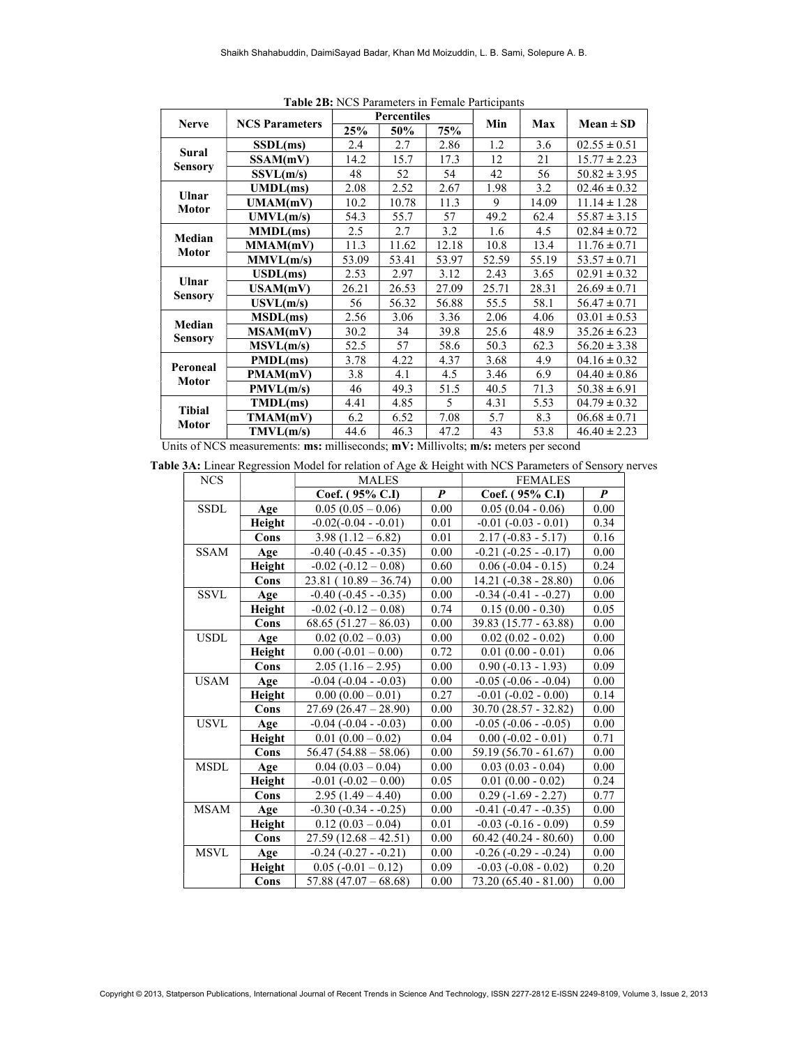| <b>Nerve</b>             |                       | <b>Percentiles</b> |       |       |       |       |                  |
|--------------------------|-----------------------|--------------------|-------|-------|-------|-------|------------------|
|                          | <b>NCS Parameters</b> | 25%                | 50%   | 75%   | Min   | Max   | $Mean \pm SD$    |
|                          | SSDL(ms)              | 2.4                | 2.7   | 2.86  | 1.2   | 3.6   | $02.55 \pm 0.51$ |
| Sural                    | SSAM(mV)              | 14.2               | 15.7  | 17.3  | 12    | 21    | $15.77 \pm 2.23$ |
| <b>Sensory</b>           | SSVL(m/s)             | 48                 | 52    | 54    | 42    | 56    | $50.82 \pm 3.95$ |
| Ulnar                    | UMDL(ms)              | 2.08               | 2.52  | 2.67  | 1.98  | 3.2   | $02.46 \pm 0.32$ |
| <b>Motor</b>             | UMAM(mV)              | 10.2               | 10.78 | 11.3  | 9     | 14.09 | $11.14 \pm 1.28$ |
|                          | UMVL(m/s)             | 54.3               | 55.7  | 57    | 49.2  | 62.4  | $55.87 \pm 3.15$ |
| Median                   | MMDL(ms)              | 2.5                | 2.7   | 3.2   | 1.6   | 4.5   | $02.84 \pm 0.72$ |
| <b>Motor</b>             | MMAM(mV)              | 11.3               | 11.62 | 12.18 | 10.8  | 13.4  | $11.76 \pm 0.71$ |
|                          | MMVL(m/s)             | 53.09              | 53.41 | 53.97 | 52.59 | 55.19 | $53.57 \pm 0.71$ |
| Ulnar<br><b>Sensory</b>  | USDL(ms)              | 2.53               | 2.97  | 3.12  | 2.43  | 3.65  | $02.91 \pm 0.32$ |
|                          | USAM(mV)              | 26.21              | 26.53 | 27.09 | 25.71 | 28.31 | $26.69 \pm 0.71$ |
|                          | USVL(m/s)             | 56                 | 56.32 | 56.88 | 55.5  | 58.1  | $56.47 \pm 0.71$ |
| Median                   | MSDL(ms)              | 2.56               | 3.06  | 3.36  | 2.06  | 4.06  | $03.01 \pm 0.53$ |
| <b>Sensory</b>           | MSAM(mV)              | 30.2               | 34    | 39.8  | 25.6  | 48.9  | $35.26 \pm 6.23$ |
|                          | MSVL(m/s)             | 52.5               | 57    | 58.6  | 50.3  | 62.3  | $56.20 \pm 3.38$ |
| Peroneal<br><b>Motor</b> | PMDL(ms)              | 3.78               | 4.22  | 4.37  | 3.68  | 4.9   | $04.16 \pm 0.32$ |
|                          | PMAM(mV)              | 3.8                | 4.1   | 4.5   | 3.46  | 6.9   | $04.40 \pm 0.86$ |
|                          | PMVL(m/s)             | 46                 | 49.3  | 51.5  | 40.5  | 71.3  | $50.38 \pm 6.91$ |
| <b>Tibial</b><br>Motor   | TMDL(ms)              | 4.41               | 4.85  | 5     | 4.31  | 5.53  | $04.79 \pm 0.32$ |
|                          | TMAM(mV)              | 6.2                | 6.52  | 7.08  | 5.7   | 8.3   | $06.68 \pm 0.71$ |
|                          | TMVL(m/s)             | 44.6               | 46.3  | 47.2  | 43    | 53.8  | $46.40 \pm 2.23$ |

Table 2B: NCS Parameters in Female Participants

Units of NCS measurements: ms: milliseconds; mV: Millivolts; m/s: meters per second

Table 3A: Linear Regression Model for relation of Age & Height with NCS Parameters of Sensory nerves

| <b>NCS</b>  |        | <b>MALES</b>                  |                  | <b>FEMALES</b>                |                  |
|-------------|--------|-------------------------------|------------------|-------------------------------|------------------|
|             |        | Coef. (95% C.I)               | $\boldsymbol{P}$ | Coef. (95% C.I)               | $\boldsymbol{P}$ |
| <b>SSDL</b> | Age    | $0.05(0.05-0.06)$             | 0.00             | $0.05(0.04 - 0.06)$           | 0.00             |
|             | Height | $-0.02(-0.04 - 0.01)$         | 0.01             | $-0.01$ $(-0.03 - 0.01)$      | 0.34             |
|             | Cons   | $3.98(1.12 - 6.82)$           | 0.01             | $2.17(-0.83 - 5.17)$          | 0.16             |
| <b>SSAM</b> | Age    | $-0.40$ ( $-0.45$ - $-0.35$ ) | 0.00             | $-0.21$ $(-0.25 - 0.17)$      | 0.00             |
|             | Height | $-0.02$ ( $-0.12 - 0.08$ )    | 0.60             | $0.06(-0.04 - 0.15)$          | 0.24             |
|             | Cons   | $23.81(10.89 - 36.74)$        | 0.00             | $14.21(-0.38 - 28.80)$        | 0.06             |
| <b>SSVL</b> | Age    | $-0.40$ ( $-0.45$ - $-0.35$ ) | 0.00             | $-0.34$ $(-0.41 - 0.27)$      | 0.00             |
|             | Height | $-0.02$ ( $-0.12 - 0.08$ )    | 0.74             | $0.15(0.00 - 0.30)$           | 0.05             |
|             | Cons   | $68.65(51.27-86.03)$          | 0.00             | 39.83 (15.77 - 63.88)         | 0.00             |
| <b>USDL</b> | Age    | $0.02(0.02 - 0.03)$           | $0.00\,$         | $0.02(0.02 - 0.02)$           | $0.00\,$         |
|             | Height | $0.00(-0.01-0.00)$            | 0.72             | $0.01(0.00 - 0.01)$           | 0.06             |
|             | Cons   | $2.05(1.16-2.95)$             | $0.00\,$         | $0.90(-0.13 - 1.93)$          | 0.09             |
| <b>USAM</b> | Age    | $-0.04$ $(-0.04 - 0.03)$      | 0.00             | $-0.05$ $(-0.06 - 0.04)$      | 0.00             |
|             | Height | $0.00(0.00 - 0.01)$           | 0.27             | $-0.01$ $(-0.02 - 0.00)$      | 0.14             |
|             | Cons   | $27.69(26.47-28.90)$          | 0.00             | 30.70 (28.57 - 32.82)         | $0.00\,$         |
| <b>USVL</b> | Age    | $-0.04$ $(-0.04 - 0.03)$      | 0.00             | $-0.05$ ( $-0.06 - 0.05$ )    | 0.00             |
|             | Height | $0.01(0.00 - 0.02)$           | 0.04             | $0.00(-0.02 - 0.01)$          | 0.71             |
|             | Cons   | $56.47(54.88 - 58.06)$        | 0.00             | 59.19 (56.70 - 61.67)         | 0.00             |
| <b>MSDL</b> | Age    | $0.04(0.03-0.04)$             | 0.00             | $0.03(0.03 - 0.04)$           | 0.00             |
|             | Height | $-0.01$ $(-0.02 - 0.00)$      | 0.05             | $0.01(0.00 - 0.02)$           | 0.24             |
|             | Cons   | $2.95(1.49 - 4.40)$           | 0.00             | $0.29(-1.69 - 2.27)$          | 0.77             |
| <b>MSAM</b> | Age    | $-0.30$ $(-0.34 - 0.25)$      | 0.00             | $-0.41$ $(-0.47 - 0.35)$      | 0.00             |
|             | Height | $0.12(0.03-0.04)$             | 0.01             | $-0.03$ $(-0.16 - 0.09)$      | 0.59             |
|             | Cons   | $27.59(12.68 - 42.51)$        | 0.00             | $60.42(40.24 - 80.60)$        | 0.00             |
| <b>MSVL</b> | Age    | $-0.24$ $(-0.27 - 0.21)$      | 0.00             | $-0.26$ ( $-0.29$ - $-0.24$ ) | 0.00             |
|             | Height | $0.05(-0.01-0.12)$            | 0.09             | $-0.03$ $(-0.08 - 0.02)$      | 0.20             |
|             | Cons   | $57.88(47.07 - 68.68)$        | 0.00             | 73.20 (65.40 - 81.00)         | 0.00             |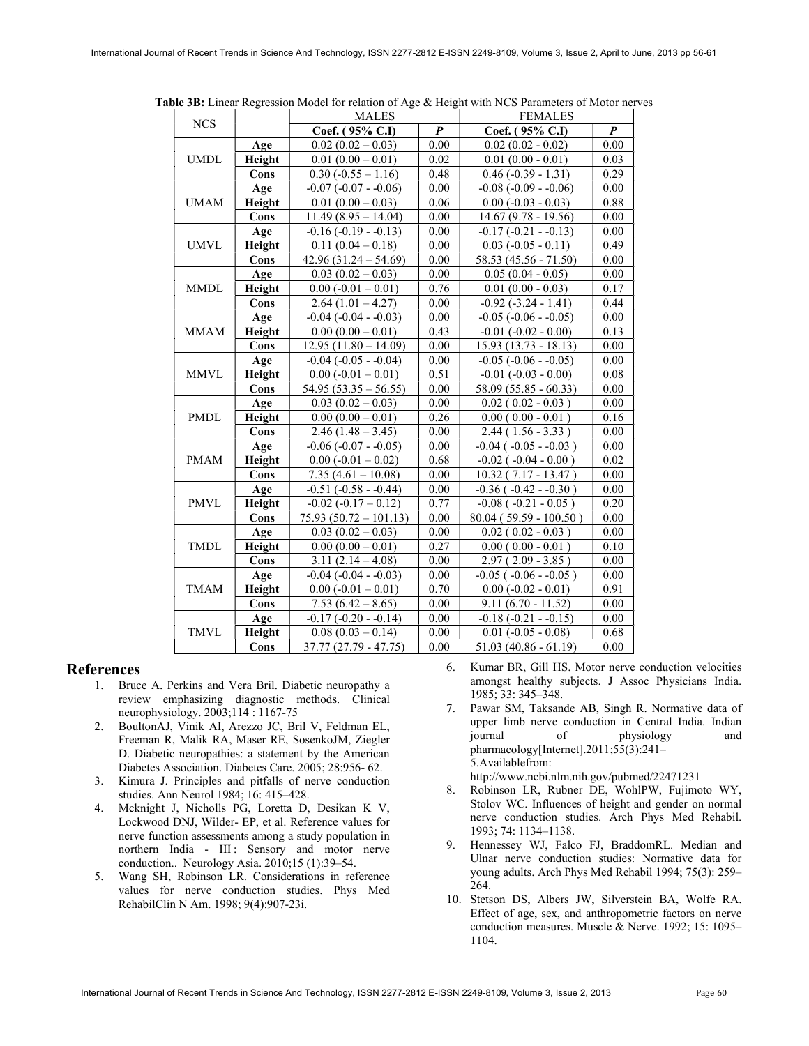| <b>NCS</b>  |        | <b>MALES</b>               |                  | <b>FEMALES</b>                |                  |  |
|-------------|--------|----------------------------|------------------|-------------------------------|------------------|--|
|             |        | Coef. (95% C.I)            | $\boldsymbol{P}$ | Coef. (95% C.I)               | $\boldsymbol{P}$ |  |
| <b>UMDL</b> | Age    | $0.02(0.02-0.03)$          | 0.00             | $0.02(0.02 - 0.02)$           | 0.00             |  |
|             | Height | $0.01(0.00-0.01)$          | 0.02             | $0.01(0.00 - 0.01)$           | 0.03             |  |
|             | Cons   | $0.30 (-0.55 - 1.16)$      | 0.48             | $0.46$ (-0.39 - 1.31)         | 0.29             |  |
|             | Age    | $-0.07$ $(-0.07 - 0.06)$   | 0.00             | $-0.08$ $(-0.09 - 0.06)$      | 0.00             |  |
| <b>UMAM</b> | Height | $0.01(0.00-0.03)$          | 0.06             | $0.00 (-0.03 - 0.03)$         | 0.88             |  |
|             | Cons   | $11.49(8.95 - 14.04)$      | 0.00             | 14.67 (9.78 - 19.56)          | 0.00             |  |
|             | Age    | $-0.16(-0.19 - 0.13)$      | 0.00             | $-0.17(-0.21 - 0.13)$         | $0.00\,$         |  |
| <b>UMVL</b> | Height | $0.11(0.04-0.18)$          | 0.00             | $0.03(-0.05 - 0.11)$          | 0.49             |  |
|             | Cons   | $42.96(31.24 - 54.69)$     | 0.00             | 58.53 (45.56 - 71.50)         | $0.00\,$         |  |
|             | Age    | $0.03(0.02-0.03)$          | 0.00             | $0.05(0.04 - 0.05)$           | 0.00             |  |
| <b>MMDL</b> | Height | $0.00 (-0.01 - 0.01)$      | 0.76             | $0.01(0.00 - 0.03)$           | 0.17             |  |
|             | Cons   | $2.64(1.01 - 4.27)$        | 0.00             | $-0.92$ $(-3.24 - 1.41)$      | 0.44             |  |
|             | Age    | $-0.04$ $(-0.04 - 0.03)$   | 0.00             | $-0.05$ $(-0.06 - 0.05)$      | 0.00             |  |
| <b>MMAM</b> | Height | $0.00(0.00 - 0.01)$        | 0.43             | $-0.01$ $(-0.02 - 0.00)$      | 0.13             |  |
|             | Cons   | $12.95(11.80 - 14.09)$     | $0.00\,$         | $15.93(13.73 - 18.13)$        | $0.00\,$         |  |
|             | Age    | $-0.04$ $(-0.05 - 0.04)$   | 0.00             | $-0.05$ $(-0.06 - 0.05)$      | 0.00             |  |
| <b>MMVL</b> | Height | $0.00 (-0.01 - 0.01)$      | 0.51             | $-0.01$ $(-0.03 - 0.00)$      | 0.08             |  |
|             | Cons   | $54.95(53.35 - 56.55)$     | $0.00\,$         | 58.09 (55.85 - 60.33)         | 0.00             |  |
|             | Age    | $0.03(0.02-0.03)$          | $0.00\,$         | $0.02(0.02 - 0.03)$           | 0.00             |  |
| <b>PMDL</b> | Height | $0.00(0.00 - 0.01)$        | 0.26             | $0.00(0.00 - 0.01)$           | 0.16             |  |
|             | Cons   | $2.46(1.48-3.45)$          | $0.00\,$         | $2.44(1.56 - 3.33)$           | 0.00             |  |
|             | Age    | $-0.06$ $(-0.07 - 0.05)$   | 0.00             | $-0.04$ ( $-0.05$ - $-0.03$ ) | 0.00             |  |
| <b>PMAM</b> | Height | $0.00 (-0.01 - 0.02)$      | 0.68             | $-0.02$ ( $-0.04 - 0.00$ )    | 0.02             |  |
|             | Cons   | $7.35(4.61 - 10.08)$       | 0.00             | 10.32 (7.17 - 13.47)          | 0.00             |  |
|             | Age    | $-0.51$ $(-0.58 - 0.44)$   | $0.00\,$         | $-0.36$ ( $-0.42$ - $-0.30$ ) | $0.00\,$         |  |
| <b>PMVL</b> | Height | $-0.02$ ( $-0.17 - 0.12$ ) | 0.77             | $-0.08$ ( $-0.21 - 0.05$ )    | 0.20             |  |
|             | Cons   | $75.93(50.72 - 101.13)$    | 0.00             | $80.04(59.59 - 100.50)$       | 0.00             |  |
|             | Age    | $0.03(0.02-0.03)$          | 0.00             | $0.02(0.02-0.03)$             | 0.00             |  |
| <b>TMDL</b> | Height | $0.00(0.00 - 0.01)$        | 0.27             | $0.00(0.00 - 0.01)$           | 0.10             |  |
|             | Cons   | $3.11(2.14 - 4.08)$        | 0.00             | $2.97(2.09 - 3.85)$           | 0.00             |  |
| TMAM        | Age    | $-0.04$ $(-0.04 - 0.03)$   | 0.00             | $-0.05$ ( $-0.06$ - $-0.05$ ) | 0.00             |  |
|             | Height | $0.00(-0.01-0.01)$         | 0.70             | $0.00 (-0.02 - 0.01)$         | 0.91             |  |
|             | Cons   | $7.53(6.42 - 8.65)$        | 0.00             | $9.11(6.70 - 11.52)$          | 0.00             |  |
|             | Age    | $-0.17(-0.20 - 0.14)$      | 0.00             | $-0.18(-0.21 - 0.15)$         | 0.00             |  |
| <b>TMVL</b> | Height | $0.08(0.03 - 0.14)$        | 0.00             | $0.01 (-0.05 - 0.08)$         | 0.68             |  |
|             | Cons   | $37.77(27.79 - 47.75)$     | 0.00             | $51.03(40.86 - 61.19)$        | 0.00             |  |

Table 3B: Linear Regression Model for relation of Age & Height with NCS Parameters of Motor nerves

#### References

- 1. Bruce A. Perkins and Vera Bril. Diabetic neuropathy a review emphasizing diagnostic methods. Clinical neurophysiology. 2003;114 : 1167-75
- 2. BoultonAJ, Vinik AI, Arezzo JC, Bril V, Feldman EL, Freeman R, Malik RA, Maser RE, SosenkoJM, Ziegler D. Diabetic neuropathies: a statement by the American Diabetes Association. Diabetes Care. 2005; 28:956- 62.
- 3. Kimura J. Principles and pitfalls of nerve conduction studies. Ann Neurol 1984; 16: 415–428.
- 4. Mcknight J, Nicholls PG, Loretta D, Desikan K V, Lockwood DNJ, Wilder- EP, et al. Reference values for nerve function assessments among a study population in northern India - III : Sensory and motor nerve conduction.. Neurology Asia. 2010;15 (1):39–54.
- 5. Wang SH, Robinson LR. Considerations in reference values for nerve conduction studies. Phys Med RehabilClin N Am. 1998; 9(4):907-23i.
- 6. Kumar BR, Gill HS. Motor nerve conduction velocities amongst healthy subjects. J Assoc Physicians India. 1985; 33: 345–348.
- 7. Pawar SM, Taksande AB, Singh R. Normative data of upper limb nerve conduction in Central India. Indian journal of physiology and pharmacology[Internet].2011;55(3):241-5.Availablefrom: http://www.ncbi.nlm.nih.gov/pubmed/22471231
- 8. Robinson LR, Rubner DE, WohlPW, Fujimoto WY, Stolov WC. Influences of height and gender on normal nerve conduction studies. Arch Phys Med Rehabil. 1993; 74: 1134–1138.
- 9. Hennessey WJ, Falco FJ, BraddomRL. Median and Ulnar nerve conduction studies: Normative data for young adults. Arch Phys Med Rehabil 1994; 75(3): 259– 264.
- 10. Stetson DS, Albers JW, Silverstein BA, Wolfe RA. Effect of age, sex, and anthropometric factors on nerve conduction measures. Muscle & Nerve. 1992; 15: 1095– 1104.